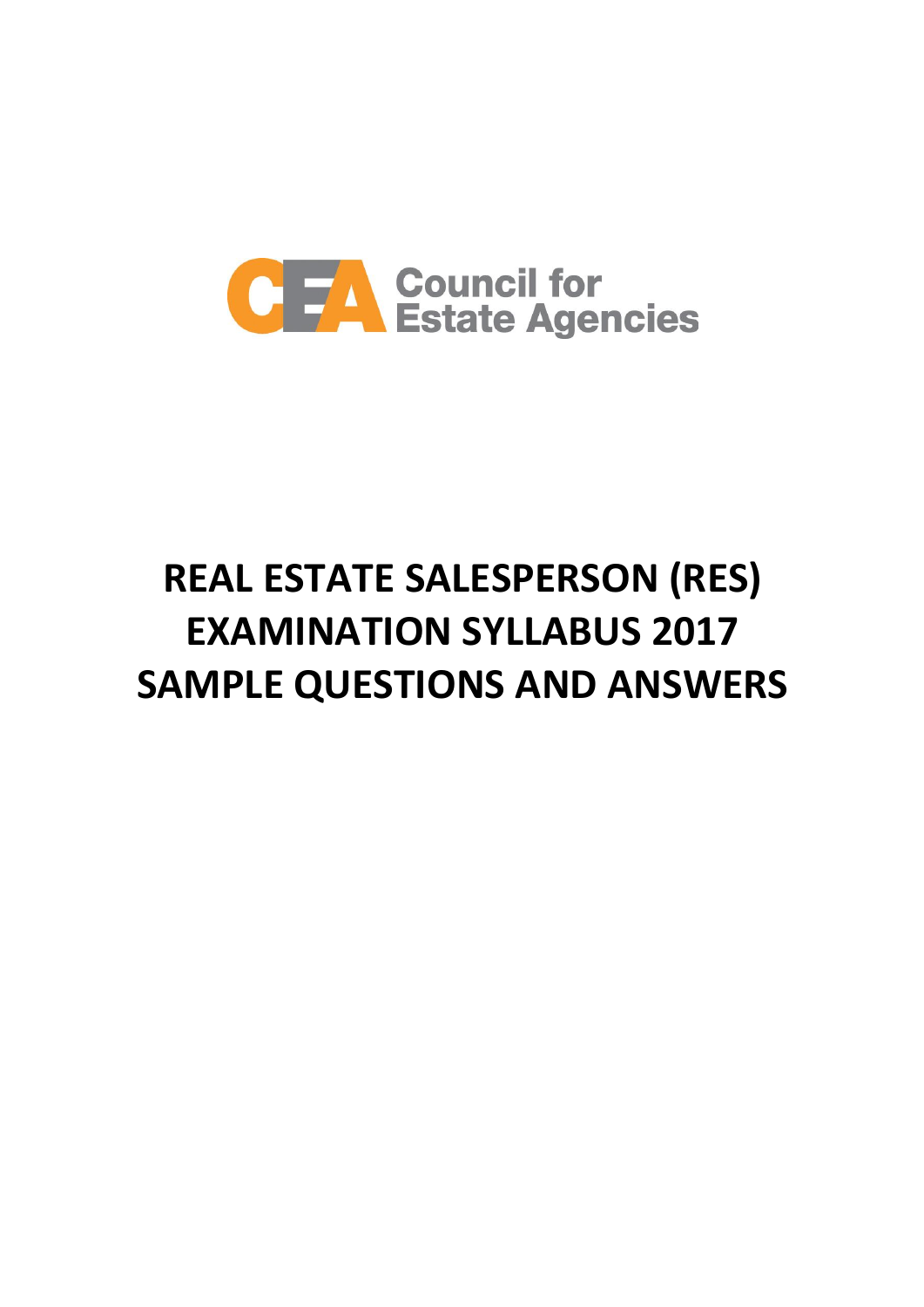

# **REAL ESTATE SALESPERSON (RES) EXAMINATION SYLLABUS 2017 SAMPLE QUESTIONS AND ANSWERS**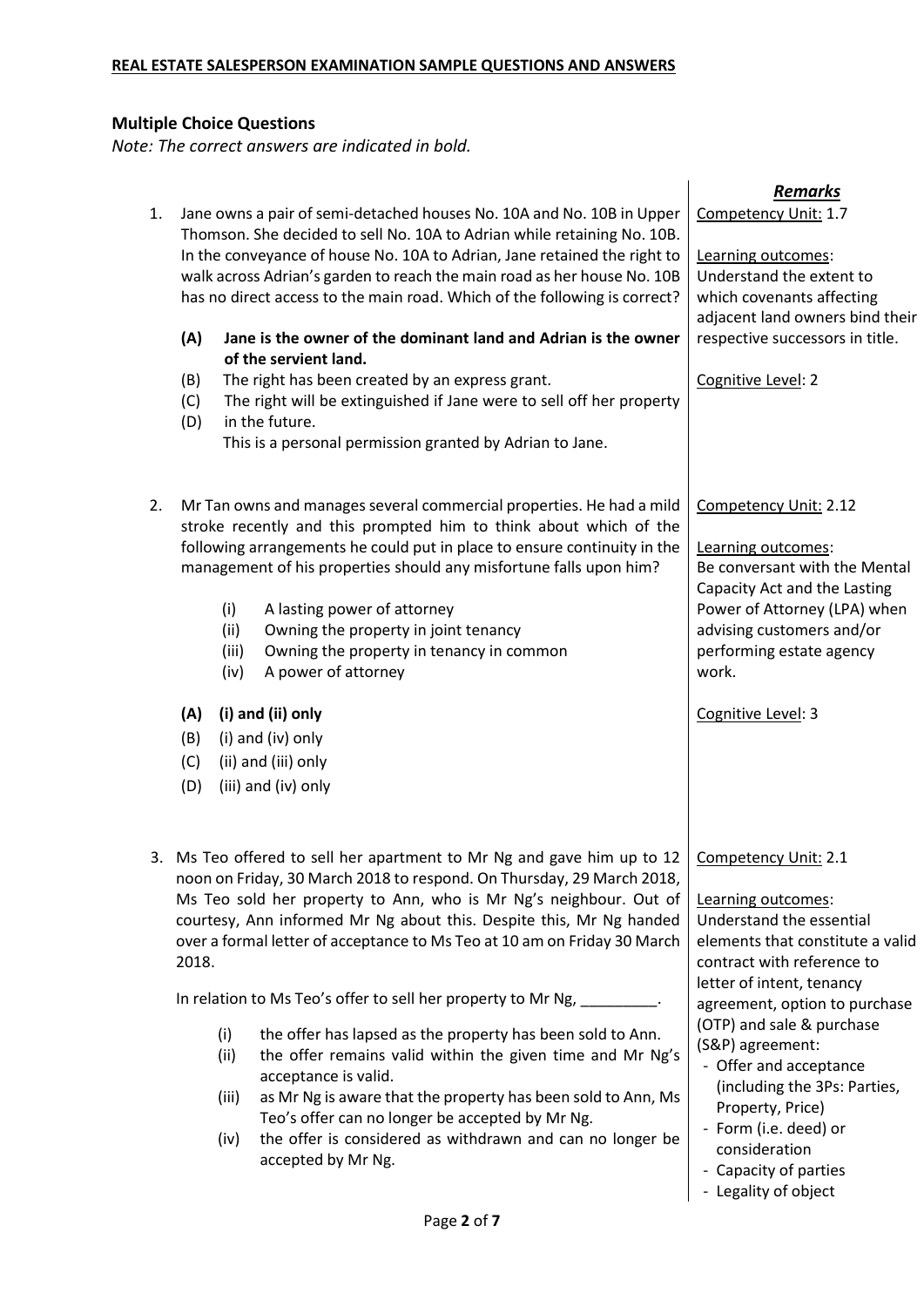## **Multiple Choice Questions**

*Note: The correct answers are indicated in bold.*

| 1.    |                              | Jane owns a pair of semi-detached houses No. 10A and No. 10B in Upper<br>Thomson. She decided to sell No. 10A to Adrian while retaining No. 10B.<br>In the conveyance of house No. 10A to Adrian, Jane retained the right to<br>walk across Adrian's garden to reach the main road as her house No. 10B<br>has no direct access to the main road. Which of the following is correct?                                                  | <b>Remarks</b><br>Competency Unit: 1.7<br>Learning outcomes:<br>Understand the extent to<br>which covenants affecting                                                                                          |
|-------|------------------------------|---------------------------------------------------------------------------------------------------------------------------------------------------------------------------------------------------------------------------------------------------------------------------------------------------------------------------------------------------------------------------------------------------------------------------------------|----------------------------------------------------------------------------------------------------------------------------------------------------------------------------------------------------------------|
|       | (A)                          | Jane is the owner of the dominant land and Adrian is the owner<br>of the servient land.                                                                                                                                                                                                                                                                                                                                               | adjacent land owners bind their<br>respective successors in title.                                                                                                                                             |
|       | (B)<br>(C)<br>(D)            | The right has been created by an express grant.<br>The right will be extinguished if Jane were to sell off her property<br>in the future.<br>This is a personal permission granted by Adrian to Jane.                                                                                                                                                                                                                                 | Cognitive Level: 2                                                                                                                                                                                             |
| 2.    | (i)<br>(ii)<br>(iii)<br>(iv) | Mr Tan owns and manages several commercial properties. He had a mild<br>stroke recently and this prompted him to think about which of the<br>following arrangements he could put in place to ensure continuity in the<br>management of his properties should any misfortune falls upon him?<br>A lasting power of attorney<br>Owning the property in joint tenancy<br>Owning the property in tenancy in common<br>A power of attorney | Competency Unit: 2.12<br>Learning outcomes:<br>Be conversant with the Mental<br>Capacity Act and the Lasting<br>Power of Attorney (LPA) when<br>advising customers and/or<br>performing estate agency<br>work. |
|       | (A)                          | (i) and (ii) only                                                                                                                                                                                                                                                                                                                                                                                                                     | Cognitive Level: 3                                                                                                                                                                                             |
|       | (B)                          | (i) and (iv) only                                                                                                                                                                                                                                                                                                                                                                                                                     |                                                                                                                                                                                                                |
|       | (C)<br>(D)                   | (ii) and (iii) only<br>(iii) and (iv) only                                                                                                                                                                                                                                                                                                                                                                                            |                                                                                                                                                                                                                |
| 2018. |                              | 3. Ms Teo offered to sell her apartment to Mr Ng and gave him up to 12<br>noon on Friday, 30 March 2018 to respond. On Thursday, 29 March 2018,<br>Ms Teo sold her property to Ann, who is Mr Ng's neighbour. Out of<br>courtesy, Ann informed Mr Ng about this. Despite this, Mr Ng handed<br>over a formal letter of acceptance to Ms Teo at 10 am on Friday 30 March                                                               | Competency Unit: 2.1<br>Learning outcomes:<br>Understand the essential<br>elements that constitute a valid<br>contract with reference to                                                                       |
|       |                              | In relation to Ms Teo's offer to sell her property to Mr Ng,                                                                                                                                                                                                                                                                                                                                                                          | letter of intent, tenancy<br>agreement, option to purchase                                                                                                                                                     |
|       | (i)<br>(ii)<br>(iii)<br>(iv) | the offer has lapsed as the property has been sold to Ann.<br>the offer remains valid within the given time and Mr Ng's<br>acceptance is valid.<br>as Mr Ng is aware that the property has been sold to Ann, Ms<br>Teo's offer can no longer be accepted by Mr Ng.<br>the offer is considered as withdrawn and can no longer be<br>accepted by Mr Ng.                                                                                 | (OTP) and sale & purchase<br>(S&P) agreement:<br>- Offer and acceptance<br>(including the 3Ps: Parties,<br>Property, Price)<br>- Form (i.e. deed) or<br>consideration<br>- Capacity of parties                 |

| - Legality of object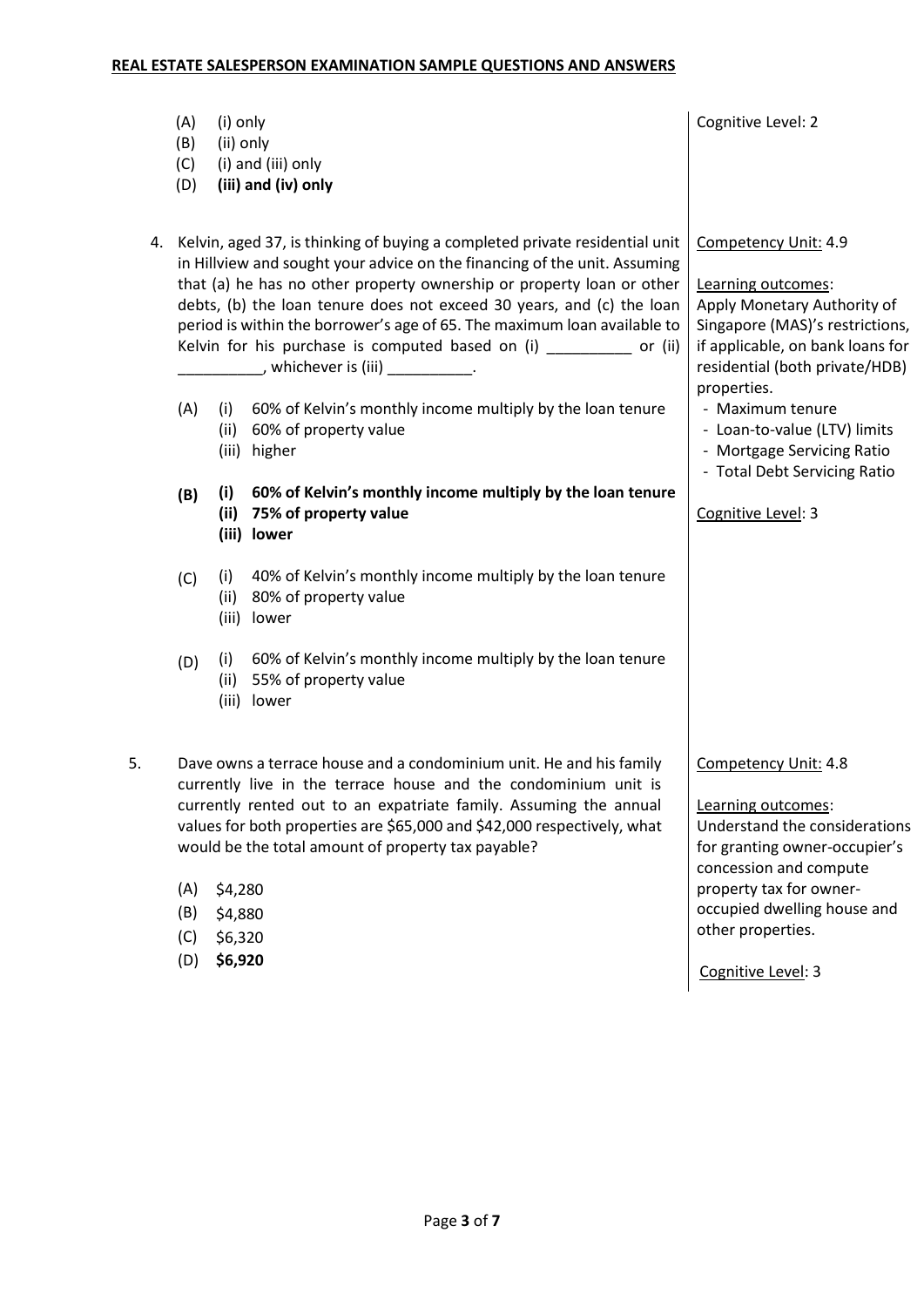|    | (A)<br>(B)<br>(C)<br>(D)                                                                                                                                                                                                                                                                                                                                                                                                                                                                                                | (i) only<br>(ii) only | (i) and (iii) only<br>(iii) and (iv) only                                                           | Cognitive Level: 2                                                                                                                                                                                                    |
|----|-------------------------------------------------------------------------------------------------------------------------------------------------------------------------------------------------------------------------------------------------------------------------------------------------------------------------------------------------------------------------------------------------------------------------------------------------------------------------------------------------------------------------|-----------------------|-----------------------------------------------------------------------------------------------------|-----------------------------------------------------------------------------------------------------------------------------------------------------------------------------------------------------------------------|
|    | 4. Kelvin, aged 37, is thinking of buying a completed private residential unit<br>in Hillview and sought your advice on the financing of the unit. Assuming<br>that (a) he has no other property ownership or property loan or other<br>debts, (b) the loan tenure does not exceed 30 years, and (c) the loan<br>period is within the borrower's age of 65. The maximum loan available to<br>Kelvin for his purchase is computed based on (i) _________ or (ii)<br>_______________, whichever is (iii) _______________. |                       |                                                                                                     | Competency Unit: 4.9<br>Learning outcomes:<br>Apply Monetary Authority of<br>Singapore (MAS)'s restrictions,<br>if applicable, on bank loans for<br>residential (both private/HDB)<br>properties.                     |
|    | (A)                                                                                                                                                                                                                                                                                                                                                                                                                                                                                                                     | (i)<br>(ii)           | 60% of Kelvin's monthly income multiply by the loan tenure<br>60% of property value<br>(iii) higher | - Maximum tenure<br>- Loan-to-value (LTV) limits<br>- Mortgage Servicing Ratio<br>- Total Debt Servicing Ratio                                                                                                        |
|    | (B)                                                                                                                                                                                                                                                                                                                                                                                                                                                                                                                     | (i)<br>(ii)<br>(iii)  | 60% of Kelvin's monthly income multiply by the loan tenure<br>75% of property value<br>lower        | Cognitive Level: 3                                                                                                                                                                                                    |
|    | (C)                                                                                                                                                                                                                                                                                                                                                                                                                                                                                                                     | (i)<br>(ii)<br>(iii)  | 40% of Kelvin's monthly income multiply by the loan tenure<br>80% of property value<br>lower        |                                                                                                                                                                                                                       |
|    | (D)                                                                                                                                                                                                                                                                                                                                                                                                                                                                                                                     | (i)<br>(ii)<br>(iii)  | 60% of Kelvin's monthly income multiply by the loan tenure<br>55% of property value<br>lower        |                                                                                                                                                                                                                       |
| 5. | Dave owns a terrace house and a condominium unit. He and his family<br>currently live in the terrace house and the condominium unit is<br>currently rented out to an expatriate family. Assuming the annual<br>values for both properties are \$65,000 and \$42,000 respectively, what<br>would be the total amount of property tax payable?<br>(A)<br>\$4,280<br>(B)<br>\$4,880<br>(C)<br>\$6,320                                                                                                                      |                       |                                                                                                     | Competency Unit: 4.8<br>Learning outcomes:<br>Understand the considerations<br>for granting owner-occupier's<br>concession and compute<br>property tax for owner-<br>occupied dwelling house and<br>other properties. |
|    | (D)                                                                                                                                                                                                                                                                                                                                                                                                                                                                                                                     | \$6,920               |                                                                                                     | Cognitive Level: 3                                                                                                                                                                                                    |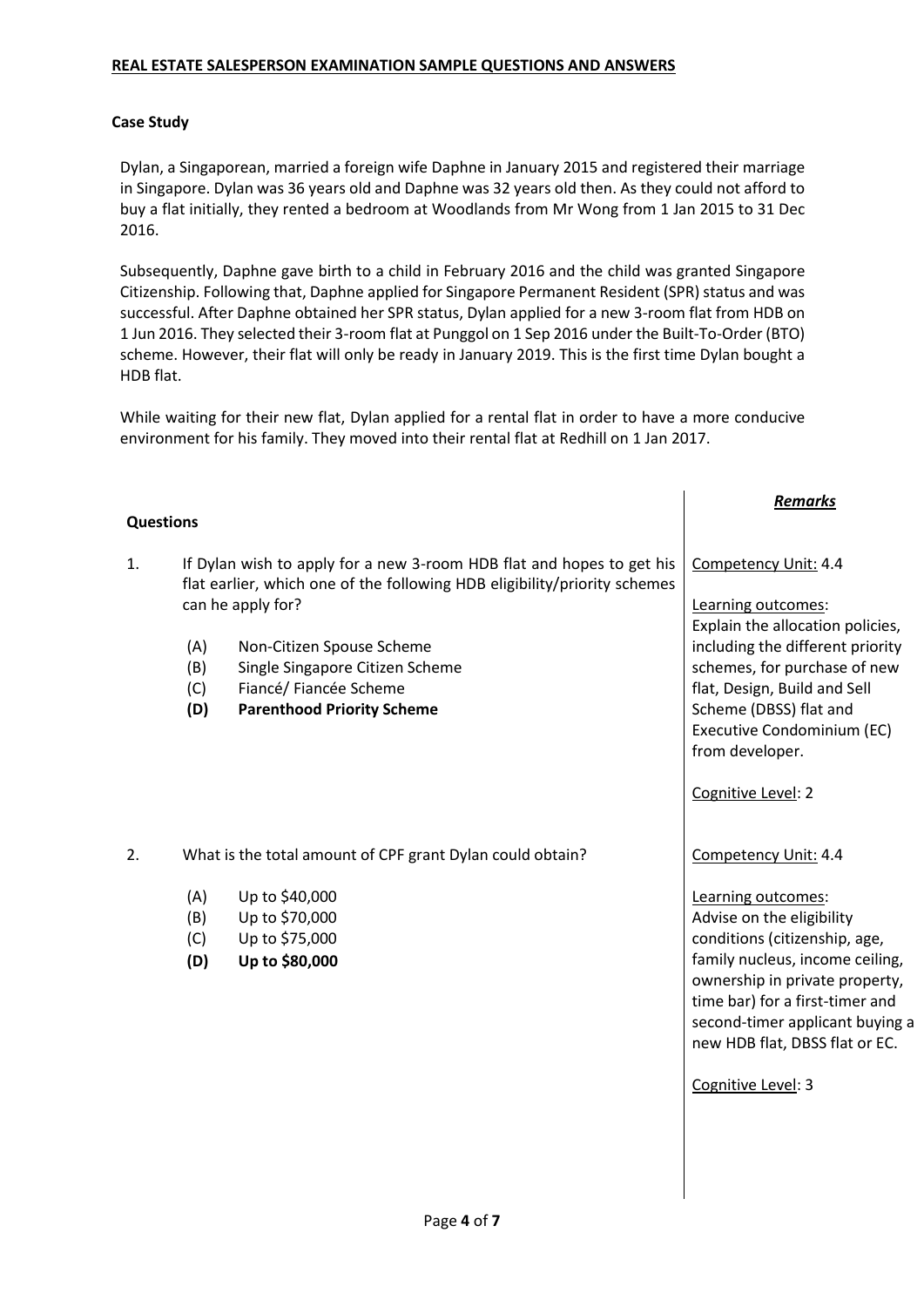#### **Case Study**

Dylan, a Singaporean, married a foreign wife Daphne in January 2015 and registered their marriage in Singapore. Dylan was 36 years old and Daphne was 32 years old then. As they could not afford to buy a flat initially, they rented a bedroom at Woodlands from Mr Wong from 1 Jan 2015 to 31 Dec 2016.

Subsequently, Daphne gave birth to a child in February 2016 and the child was granted Singapore Citizenship. Following that, Daphne applied for Singapore Permanent Resident (SPR) status and was successful. After Daphne obtained her SPR status, Dylan applied for a new 3-room flat from HDB on 1 Jun 2016. They selected their 3-room flat at Punggol on 1 Sep 2016 under the Built-To-Order (BTO) scheme. However, their flat will only be ready in January 2019. This is the first time Dylan bought a HDB flat.

While waiting for their new flat, Dylan applied for a rental flat in order to have a more conducive environment for his family. They moved into their rental flat at Redhill on 1 Jan 2017.

|                  |                          |                                                                                                                                                                         | <b>Remarks</b>                                                                                                                                                              |
|------------------|--------------------------|-------------------------------------------------------------------------------------------------------------------------------------------------------------------------|-----------------------------------------------------------------------------------------------------------------------------------------------------------------------------|
| <b>Questions</b> |                          |                                                                                                                                                                         |                                                                                                                                                                             |
| 1.               |                          | If Dylan wish to apply for a new 3-room HDB flat and hopes to get his<br>flat earlier, which one of the following HDB eligibility/priority schemes<br>can he apply for? | Competency Unit: 4.4<br>Learning outcomes:<br>Explain the allocation policies,                                                                                              |
|                  | (A)<br>(B)<br>(C)<br>(D) | Non-Citizen Spouse Scheme<br>Single Singapore Citizen Scheme<br>Fiancé/ Fiancée Scheme<br><b>Parenthood Priority Scheme</b>                                             | including the different priority<br>schemes, for purchase of new<br>flat, Design, Build and Sell<br>Scheme (DBSS) flat and<br>Executive Condominium (EC)<br>from developer. |
|                  |                          |                                                                                                                                                                         | Cognitive Level: 2                                                                                                                                                          |
| 2.               |                          | What is the total amount of CPF grant Dylan could obtain?                                                                                                               | Competency Unit: 4.4                                                                                                                                                        |
|                  | (A)                      | Up to \$40,000<br>Up to \$70,000                                                                                                                                        | Learning outcomes:<br>Advise on the eligibility                                                                                                                             |
|                  | (B)<br>(C)               | Up to \$75,000                                                                                                                                                          | conditions (citizenship, age,                                                                                                                                               |
|                  | (D)                      | Up to \$80,000                                                                                                                                                          | family nucleus, income ceiling,<br>ownership in private property,<br>time bar) for a first-timer and<br>second-timer applicant buying a<br>new HDB flat, DBSS flat or EC.   |
|                  |                          |                                                                                                                                                                         | Cognitive Level: 3                                                                                                                                                          |
|                  |                          |                                                                                                                                                                         |                                                                                                                                                                             |
|                  |                          |                                                                                                                                                                         |                                                                                                                                                                             |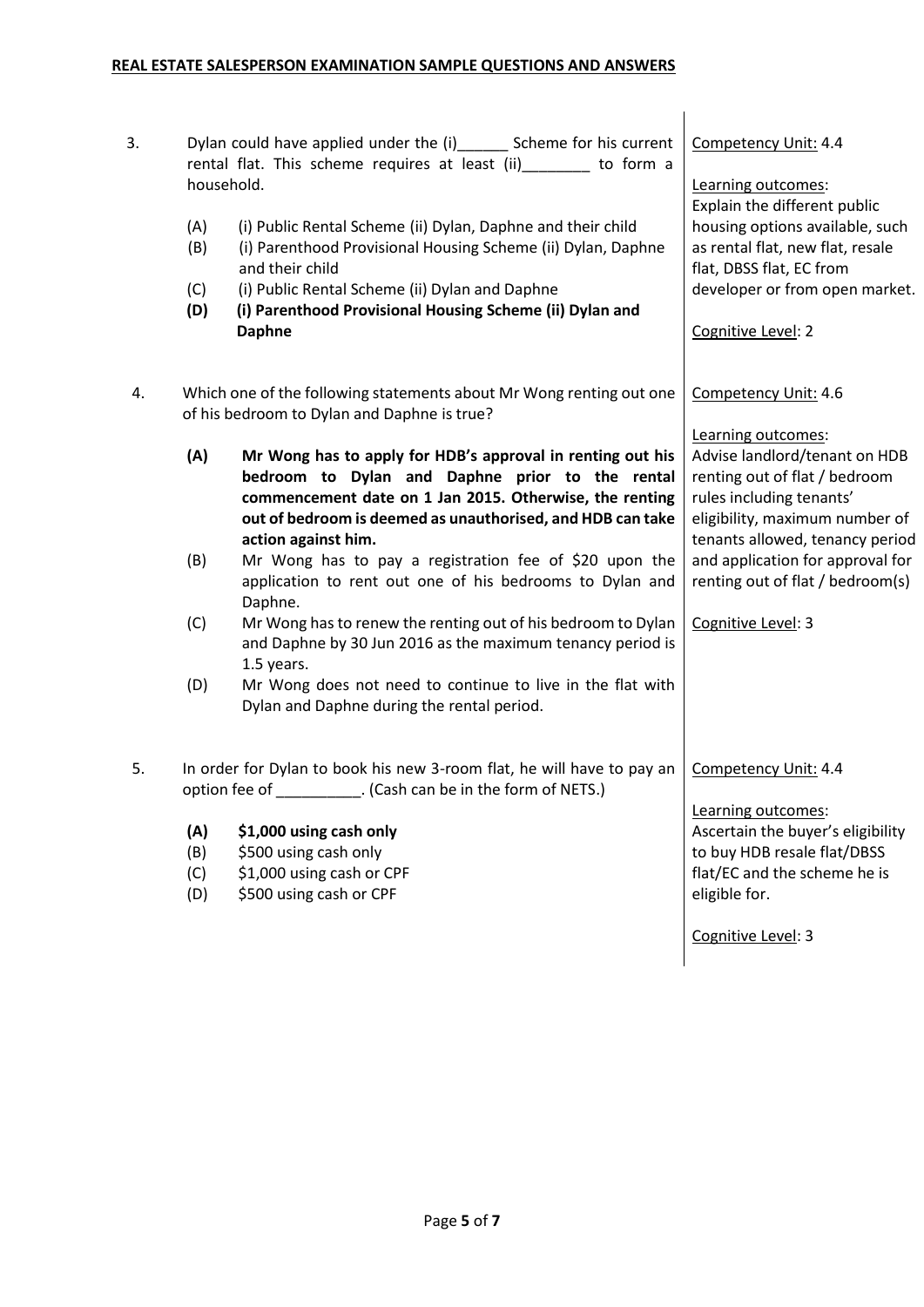| 3. |                                                                   | Dylan could have applied under the (i) _______ Scheme for his current                                         | Competency Unit: 4.4                                            |
|----|-------------------------------------------------------------------|---------------------------------------------------------------------------------------------------------------|-----------------------------------------------------------------|
|    | rental flat. This scheme requires at least (ii) _______ to form a |                                                                                                               |                                                                 |
|    | household.                                                        |                                                                                                               | Learning outcomes:                                              |
|    | (A)                                                               | (i) Public Rental Scheme (ii) Dylan, Daphne and their child                                                   | Explain the different public<br>housing options available, such |
|    | (B)                                                               | (i) Parenthood Provisional Housing Scheme (ii) Dylan, Daphne                                                  | as rental flat, new flat, resale                                |
|    |                                                                   | and their child                                                                                               | flat, DBSS flat, EC from                                        |
|    | (C)                                                               | (i) Public Rental Scheme (ii) Dylan and Daphne                                                                | developer or from open market.                                  |
|    | (D)                                                               | (i) Parenthood Provisional Housing Scheme (ii) Dylan and                                                      |                                                                 |
|    |                                                                   | <b>Daphne</b>                                                                                                 | Cognitive Level: 2                                              |
| 4. |                                                                   | Which one of the following statements about Mr Wong renting out one                                           | Competency Unit: 4.6                                            |
|    |                                                                   | of his bedroom to Dylan and Daphne is true?                                                                   |                                                                 |
|    |                                                                   |                                                                                                               | Learning outcomes:                                              |
|    | (A)                                                               | Mr Wong has to apply for HDB's approval in renting out his<br>bedroom to Dylan and Daphne prior to the rental | Advise landlord/tenant on HDB                                   |
|    |                                                                   | commencement date on 1 Jan 2015. Otherwise, the renting                                                       | renting out of flat / bedroom<br>rules including tenants'       |
|    |                                                                   | out of bedroom is deemed as unauthorised, and HDB can take                                                    | eligibility, maximum number of                                  |
|    |                                                                   | action against him.                                                                                           | tenants allowed, tenancy period                                 |
|    | (B)                                                               | Mr Wong has to pay a registration fee of \$20 upon the                                                        | and application for approval for                                |
|    |                                                                   | application to rent out one of his bedrooms to Dylan and<br>Daphne.                                           | renting out of flat / bedroom(s)                                |
|    | (C)                                                               | Mr Wong has to renew the renting out of his bedroom to Dylan                                                  | Cognitive Level: 3                                              |
|    |                                                                   | and Daphne by 30 Jun 2016 as the maximum tenancy period is                                                    |                                                                 |
|    |                                                                   | 1.5 years.                                                                                                    |                                                                 |
|    | (D)                                                               | Mr Wong does not need to continue to live in the flat with<br>Dylan and Daphne during the rental period.      |                                                                 |
| 5. |                                                                   | In order for Dylan to book his new 3-room flat, he will have to pay an                                        | Competency Unit: 4.4                                            |
|    |                                                                   | option fee of __________. (Cash can be in the form of NETS.)                                                  |                                                                 |
|    |                                                                   |                                                                                                               | Learning outcomes:                                              |
|    | (A)                                                               | \$1,000 using cash only                                                                                       | Ascertain the buyer's eligibility                               |
|    | (B)<br>(C)                                                        | \$500 using cash only<br>\$1,000 using cash or CPF                                                            | to buy HDB resale flat/DBSS<br>flat/EC and the scheme he is     |
|    | (D)                                                               | \$500 using cash or CPF                                                                                       | eligible for.                                                   |
|    |                                                                   |                                                                                                               | Cognitive Level: 3                                              |

 $\overline{\phantom{a}}$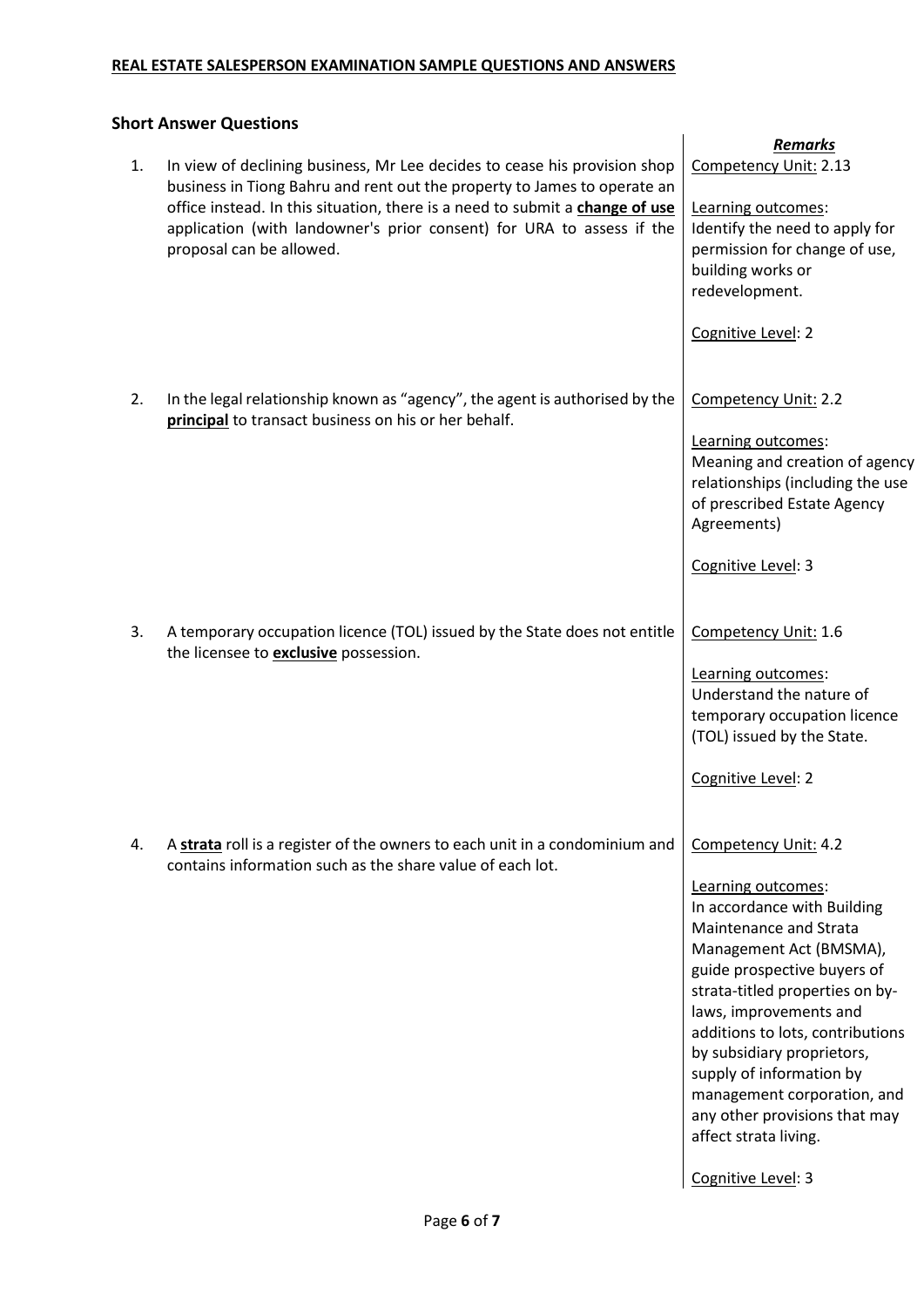## **Short Answer Questions**

| 1. | In view of declining business, Mr Lee decides to cease his provision shop<br>business in Tiong Bahru and rent out the property to James to operate an<br>office instead. In this situation, there is a need to submit a change of use<br>application (with landowner's prior consent) for URA to assess if the<br>proposal can be allowed. | <b>Remarks</b><br>Competency Unit: 2.13<br>Learning outcomes:<br>Identify the need to apply for<br>permission for change of use,<br>building works or<br>redevelopment.<br>Cognitive Level: 2                                                                                                                                                                                                                                           |
|----|--------------------------------------------------------------------------------------------------------------------------------------------------------------------------------------------------------------------------------------------------------------------------------------------------------------------------------------------|-----------------------------------------------------------------------------------------------------------------------------------------------------------------------------------------------------------------------------------------------------------------------------------------------------------------------------------------------------------------------------------------------------------------------------------------|
| 2. | In the legal relationship known as "agency", the agent is authorised by the<br>principal to transact business on his or her behalf.                                                                                                                                                                                                        | Competency Unit: 2.2<br>Learning outcomes:<br>Meaning and creation of agency<br>relationships (including the use<br>of prescribed Estate Agency<br>Agreements)<br>Cognitive Level: 3                                                                                                                                                                                                                                                    |
| 3. | A temporary occupation licence (TOL) issued by the State does not entitle<br>the licensee to <b>exclusive</b> possession.                                                                                                                                                                                                                  | Competency Unit: 1.6<br>Learning outcomes:<br>Understand the nature of<br>temporary occupation licence<br>(TOL) issued by the State.<br>Cognitive Level: 2                                                                                                                                                                                                                                                                              |
| 4. | A strata roll is a register of the owners to each unit in a condominium and<br>contains information such as the share value of each lot.                                                                                                                                                                                                   | Competency Unit: 4.2<br>Learning outcomes:<br>In accordance with Building<br>Maintenance and Strata<br>Management Act (BMSMA),<br>guide prospective buyers of<br>strata-titled properties on by-<br>laws, improvements and<br>additions to lots, contributions<br>by subsidiary proprietors,<br>supply of information by<br>management corporation, and<br>any other provisions that may<br>affect strata living.<br>Cognitive Level: 3 |